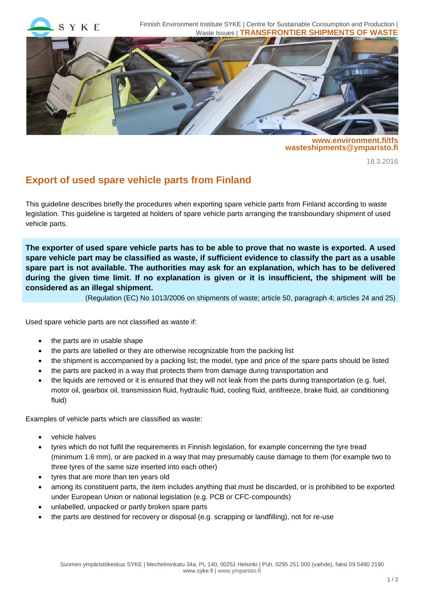

**www.environment.fi/tfs wasteshipments@ymparisto.fi**

18.3.2016

## **Export of used spare vehicle parts from Finland**

This guideline describes briefly the procedures when exporting spare vehicle parts from Finland according to waste legislation. This guideline is targeted at holders of spare vehicle parts arranging the transboundary shipment of used vehicle parts.

**The exporter of used spare vehicle parts has to be able to prove that no waste is exported. A used spare vehicle part may be classified as waste, if sufficient evidence to classify the part as a usable spare part is not available. The authorities may ask for an explanation, which has to be delivered during the given time limit. If no explanation is given or it is insufficient, the shipment will be considered as an illegal shipment.**

(Regulation (EC) No 1013/2006 on shipments of waste; article 50, paragraph 4; articles 24 and 25)

Used spare vehicle parts are not classified as waste if:

- the parts are in usable shape
- the parts are labelled or they are otherwise recognizable from the packing list
- the shipment is accompanied by a packing list; the model, type and price of the spare parts should be listed
- the parts are packed in a way that protects them from damage during transportation and
- the liquids are removed or it is ensured that they will not leak from the parts during transportation (e.g. fuel, motor oil, gearbox oil, transmission fluid, hydraulic fluid, cooling fluid, antifreeze, brake fluid, air conditioning fluid)

Examples of vehicle parts which are classified as waste:

- vehicle halves
- tyres which do not fulfil the requirements in Finnish legislation, for example concerning the tyre tread (minimum 1.6 mm), or are packed in a way that may presumably cause damage to them (for example two to three tyres of the same size inserted into each other)
- tyres that are more than ten years old
- among its constituent parts, the item includes anything that must be discarded, or is prohibited to be exported under European Union or national legislation (e.g. PCB or CFC-compounds)
- unlabelled, unpacked or partly broken spare parts
- the parts are destined for recovery or disposal (e.g. scrapping or landfilling), not for re-use